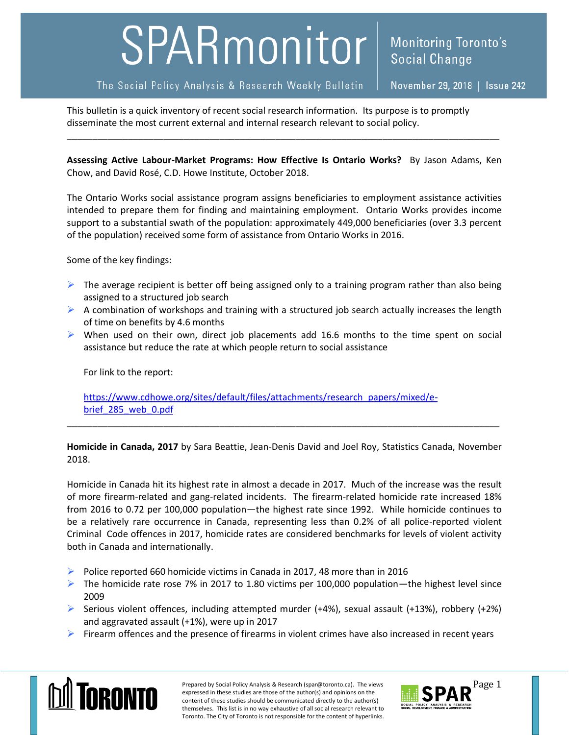## SPARmonitor

The Social Policy Analysis & Research Weekly Bulletin

November 29, 2018 | Issue 242

This bulletin is a quick inventory of recent social research information. Its purpose is to promptly disseminate the most current external and internal research relevant to social policy.

**Assessing Active Labour-Market Programs: How Effective Is Ontario Works?** By Jason Adams, Ken Chow, and David Rosé, C.D. Howe Institute, October 2018.

\_\_\_\_\_\_\_\_\_\_\_\_\_\_\_\_\_\_\_\_\_\_\_\_\_\_\_\_\_\_\_\_\_\_\_\_\_\_\_\_\_\_\_\_\_\_\_\_\_\_\_\_\_\_\_\_\_\_\_\_\_\_\_\_\_\_\_\_\_\_\_\_\_\_\_\_\_\_\_\_\_\_\_\_\_

The Ontario Works social assistance program assigns beneficiaries to employment assistance activities intended to prepare them for finding and maintaining employment. Ontario Works provides income support to a substantial swath of the population: approximately 449,000 beneficiaries (over 3.3 percent of the population) received some form of assistance from Ontario Works in 2016.

Some of the key findings:

- $\triangleright$  The average recipient is better off being assigned only to a training program rather than also being assigned to a structured job search
- $\triangleright$  A combination of workshops and training with a structured job search actually increases the length of time on benefits by 4.6 months
- $\triangleright$  When used on their own, direct job placements add 16.6 months to the time spent on social assistance but reduce the rate at which people return to social assistance

For link to the report:

[https://www.cdhowe.org/sites/default/files/attachments/research\\_papers/mixed/e](https://www.cdhowe.org/sites/default/files/attachments/research_papers/mixed/e-brief_285_web_0.pdf)[brief\\_285\\_web\\_0.pdf](https://www.cdhowe.org/sites/default/files/attachments/research_papers/mixed/e-brief_285_web_0.pdf)

**Homicide in Canada, 2017** by Sara Beattie, Jean-Denis David and Joel Roy, Statistics Canada, November 2018.

\_\_\_\_\_\_\_\_\_\_\_\_\_\_\_\_\_\_\_\_\_\_\_\_\_\_\_\_\_\_\_\_\_\_\_\_\_\_\_\_\_\_\_\_\_\_\_\_\_\_\_\_\_\_\_\_\_\_\_\_\_\_\_\_\_\_\_\_\_\_\_\_\_\_\_\_\_\_\_\_\_\_\_\_\_

Homicide in Canada hit its highest rate in almost a decade in 2017. Much of the increase was the result of more firearm-related and gang-related incidents. The firearm-related homicide rate increased 18% from 2016 to 0.72 per 100,000 population—the highest rate since 1992. While homicide continues to be a relatively rare occurrence in Canada, representing less than 0.2% of all police-reported violent Criminal Code offences in 2017, homicide rates are considered benchmarks for levels of violent activity both in Canada and internationally.

- Police reported 660 homicide victims in Canada in 2017, 48 more than in 2016
- The homicide rate rose 7% in 2017 to 1.80 victims per 100,000 population—the highest level since 2009
- Serious violent offences, including attempted murder  $(+4%)$ , sexual assault  $(+13%)$ , robbery  $(+2%)$ and aggravated assault (+1%), were up in 2017
- $\triangleright$  Firearm offences and the presence of firearms in violent crimes have also increased in recent years



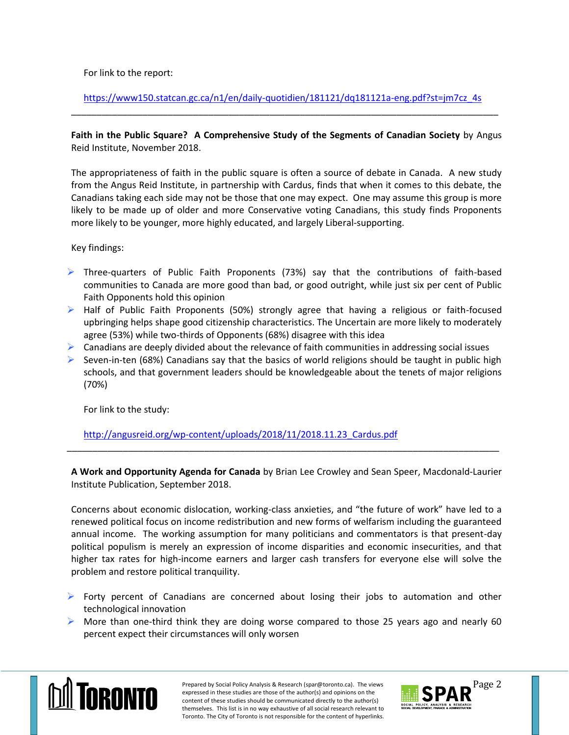For link to the report:

[https://www150.statcan.gc.ca/n1/en/daily-quotidien/181121/dq181121a-eng.pdf?st=jm7cz\\_4s](https://www150.statcan.gc.ca/n1/en/daily-quotidien/181121/dq181121a-eng.pdf?st=jm7cz_4s) \_\_\_\_\_\_\_\_\_\_\_\_\_\_\_\_\_\_\_\_\_\_\_\_\_\_\_\_\_\_\_\_\_\_\_\_\_\_\_\_\_\_\_\_\_\_\_\_\_\_\_\_\_\_\_\_\_\_\_\_\_\_\_\_\_\_\_\_\_\_\_\_\_\_\_\_\_\_\_\_\_\_\_\_

## **Faith in the Public Square? A Comprehensive Study of the Segments of Canadian Society** by Angus Reid Institute, November 2018.

The appropriateness of faith in the public square is often a source of debate in Canada. A new study from the Angus Reid Institute, in partnership with Cardus, finds that when it comes to this debate, the Canadians taking each side may not be those that one may expect. One may assume this group is more likely to be made up of older and more Conservative voting Canadians, this study finds Proponents more likely to be younger, more highly educated, and largely Liberal-supporting.

Key findings:

- $\triangleright$  Three-quarters of Public Faith Proponents (73%) say that the contributions of faith-based communities to Canada are more good than bad, or good outright, while just six per cent of Public Faith Opponents hold this opinion
- $\triangleright$  Half of Public Faith Proponents (50%) strongly agree that having a religious or faith-focused upbringing helps shape good citizenship characteristics. The Uncertain are more likely to moderately agree (53%) while two-thirds of Opponents (68%) disagree with this idea
- $\triangleright$  Canadians are deeply divided about the relevance of faith communities in addressing social issues
- $\triangleright$  Seven-in-ten (68%) Canadians say that the basics of world religions should be taught in public high schools, and that government leaders should be knowledgeable about the tenets of major religions (70%)

For link to the study:

[http://angusreid.org/wp-content/uploads/2018/11/2018.11.23\\_Cardus.pdf](http://angusreid.org/wp-content/uploads/2018/11/2018.11.23_Cardus.pdf)

**A Work and Opportunity Agenda for Canada** by Brian Lee Crowley and Sean Speer, Macdonald-Laurier Institute Publication, September 2018.

\_\_\_\_\_\_\_\_\_\_\_\_\_\_\_\_\_\_\_\_\_\_\_\_\_\_\_\_\_\_\_\_\_\_\_\_\_\_\_\_\_\_\_\_\_\_\_\_\_\_\_\_\_\_\_\_\_\_\_\_\_\_\_\_\_\_\_\_\_\_\_\_\_\_\_\_\_\_\_\_\_\_\_\_\_

Concerns about economic dislocation, working-class anxieties, and "the future of work" have led to a renewed political focus on income redistribution and new forms of welfarism including the guaranteed annual income. The working assumption for many politicians and commentators is that present-day political populism is merely an expression of income disparities and economic insecurities, and that higher tax rates for high-income earners and larger cash transfers for everyone else will solve the problem and restore political tranquility.

- $\triangleright$  Forty percent of Canadians are concerned about losing their jobs to automation and other technological innovation
- $\triangleright$  More than one-third think they are doing worse compared to those 25 years ago and nearly 60 percent expect their circumstances will only worsen